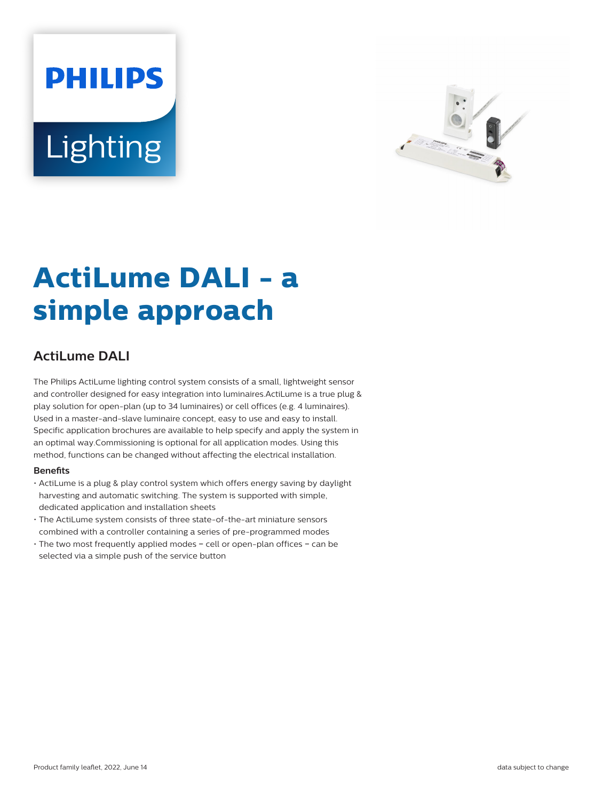# **PHILIPS** Lighting



# **ActiLume DALI - a simple approach**

# **ActiLume DALI**

The Philips ActiLume lighting control system consists of a small, lightweight sensor and controller designed for easy integration into luminaires.ActiLume is a true plug & play solution for open-plan (up to 34 luminaires) or cell offices (e.g. 4 luminaires). Used in a master-and-slave luminaire concept, easy to use and easy to install. Specific application brochures are available to help specify and apply the system in an optimal way.Commissioning is optional for all application modes. Using this method, functions can be changed without affecting the electrical installation.

#### **Benets**

- ActiLume is a plug & play control system which offers energy saving by daylight harvesting and automatic switching. The system is supported with simple, dedicated application and installation sheets
- The ActiLume system consists of three state-of-the-art miniature sensors combined with a controller containing a series of pre-programmed modes
- The two most frequently applied modes − cell or open-plan offices − can be selected via a simple push of the service button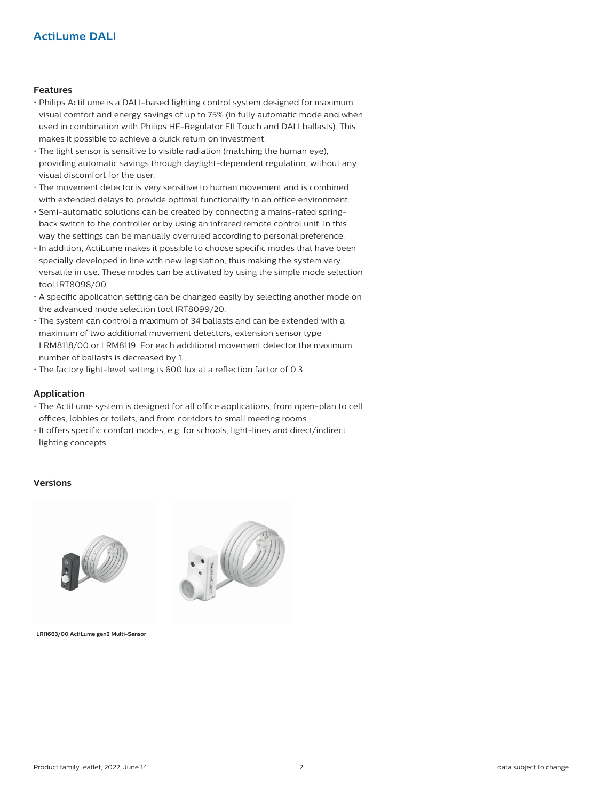## **Actil ume DALI**

#### **Features**

- Philips ActiLume is a DALI-based lighting control system designed for maximum visual comfort and energy savings of up to 75% (in fully automatic mode and when used in combination with Philips HF-Regulator EII Touch and DALI ballasts). This makes it possible to achieve a quick return on investment.
- The light sensor is sensitive to visible radiation (matching the human eye), providing automatic savings through daylight-dependent regulation, without any visual discomfort for the user.
- The movement detector is very sensitive to human movement and is combined with extended delays to provide optimal functionality in an office environment.
- Semi-automatic solutions can be created by connecting a mains-rated springback switch to the controller or by using an infrared remote control unit. In this way the settings can be manually overruled according to personal preference.
- In addition, ActiLume makes it possible to choose specific modes that have been specially developed in line with new legislation, thus making the system very versatile in use. These modes can be activated by using the simple mode selection tool IRT8098/00.
- A specific application setting can be changed easily by selecting another mode on the advanced mode selection tool IRT8099/20.
- The system can control a maximum of 34 ballasts and can be extended with a maximum of two additional movement detectors, extension sensor type LRM8118/00 or LRM8119. For each additional movement detector the maximum number of ballasts is decreased by 1.
- The factory light-level setting is 600 lux at a reflection factor of 0.3.

#### **Application**

- The ActiLume system is designed for all office applications, from open-plan to cell offices, lobbies or toilets, and from corridors to small meeting rooms
- It offers specific comfort modes, e.g. for schools, light-lines and direct/indirect lighting concepts

#### **Versions**





**LRI1663/00 ActiLume gen2 Multi-Sensor**